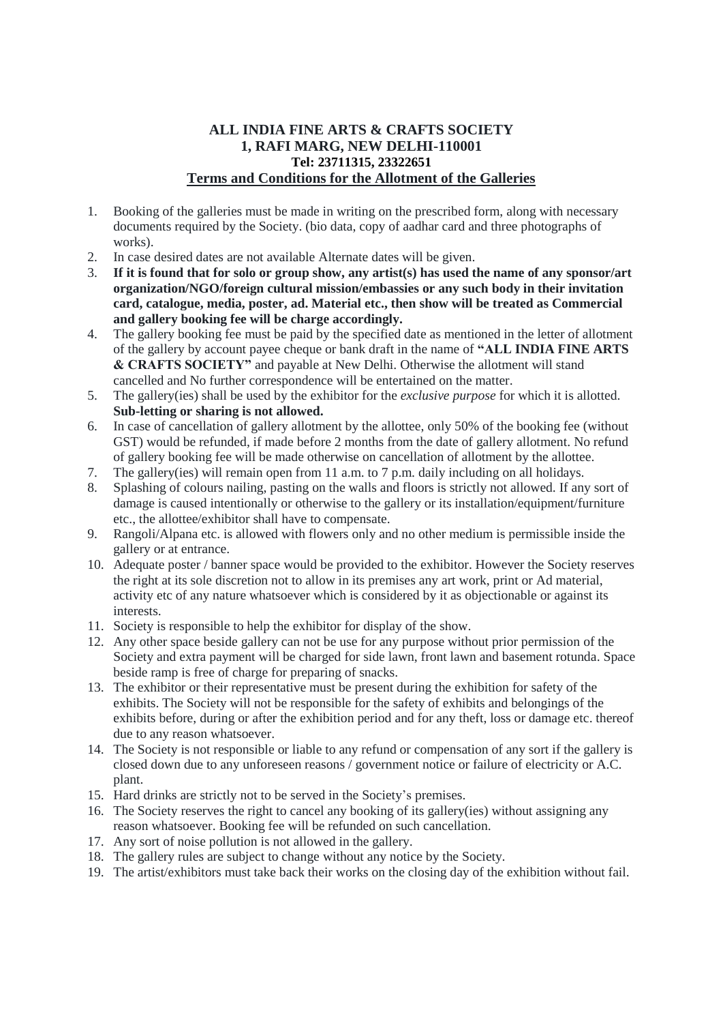## **ALL INDIA FINE ARTS & CRAFTS SOCIETY 1, RAFI MARG, NEW DELHI-110001 Tel: 23711315, 23322651 Terms and Conditions for the Allotment of the Galleries**

- 1. Booking of the galleries must be made in writing on the prescribed form, along with necessary documents required by the Society. (bio data, copy of aadhar card and three photographs of works).
- 2. In case desired dates are not available Alternate dates will be given.<br>3. If it is found that for solo or group show, any artist(s) has used the
- If it is found that for solo or group show, any artist(s) has used the name of any sponsor/art **organization/NGO/foreign cultural mission/embassies or any such body in their invitation card, catalogue, media, poster, ad. Material etc., then show will be treated as Commercial and gallery booking fee will be charge accordingly.**
- 4. The gallery booking fee must be paid by the specified date as mentioned in the letter of allotment of the gallery by account payee cheque or bank draft in the name of **"ALL INDIA FINE ARTS & CRAFTS SOCIETY"** and payable at New Delhi. Otherwise the allotment will stand cancelled and No further correspondence will be entertained on the matter.
- 5. The gallery(ies) shall be used by the exhibitor for the *exclusive purpose* for which it is allotted. **Sub-letting or sharing is not allowed.**
- 6. In case of cancellation of gallery allotment by the allottee, only 50% of the booking fee (without GST) would be refunded, if made before 2 months from the date of gallery allotment. No refund of gallery booking fee will be made otherwise on cancellation of allotment by the allottee.
- 7. The gallery(ies) will remain open from 11 a.m. to 7 p.m. daily including on all holidays.
- 8. Splashing of colours nailing, pasting on the walls and floors is strictly not allowed. If any sort of damage is caused intentionally or otherwise to the gallery or its installation/equipment/furniture etc., the allottee/exhibitor shall have to compensate.
- 9. Rangoli/Alpana etc. is allowed with flowers only and no other medium is permissible inside the gallery or at entrance.
- 10. Adequate poster / banner space would be provided to the exhibitor. However the Society reserves the right at its sole discretion not to allow in its premises any art work, print or Ad material, activity etc of any nature whatsoever which is considered by it as objectionable or against its interests.
- 11. Society is responsible to help the exhibitor for display of the show.
- 12. Any other space beside gallery can not be use for any purpose without prior permission of the Society and extra payment will be charged for side lawn, front lawn and basement rotunda. Space beside ramp is free of charge for preparing of snacks.
- 13. The exhibitor or their representative must be present during the exhibition for safety of the exhibits. The Society will not be responsible for the safety of exhibits and belongings of the exhibits before, during or after the exhibition period and for any theft, loss or damage etc. thereof due to any reason whatsoever.
- 14. The Society is not responsible or liable to any refund or compensation of any sort if the gallery is closed down due to any unforeseen reasons / government notice or failure of electricity or A.C. plant.
- 15. Hard drinks are strictly not to be served in the Society's premises.
- 16. The Society reserves the right to cancel any booking of its gallery(ies) without assigning any reason whatsoever. Booking fee will be refunded on such cancellation.
- 17. Any sort of noise pollution is not allowed in the gallery.
- 18. The gallery rules are subject to change without any notice by the Society.
- 19. The artist/exhibitors must take back their works on the closing day of the exhibition without fail.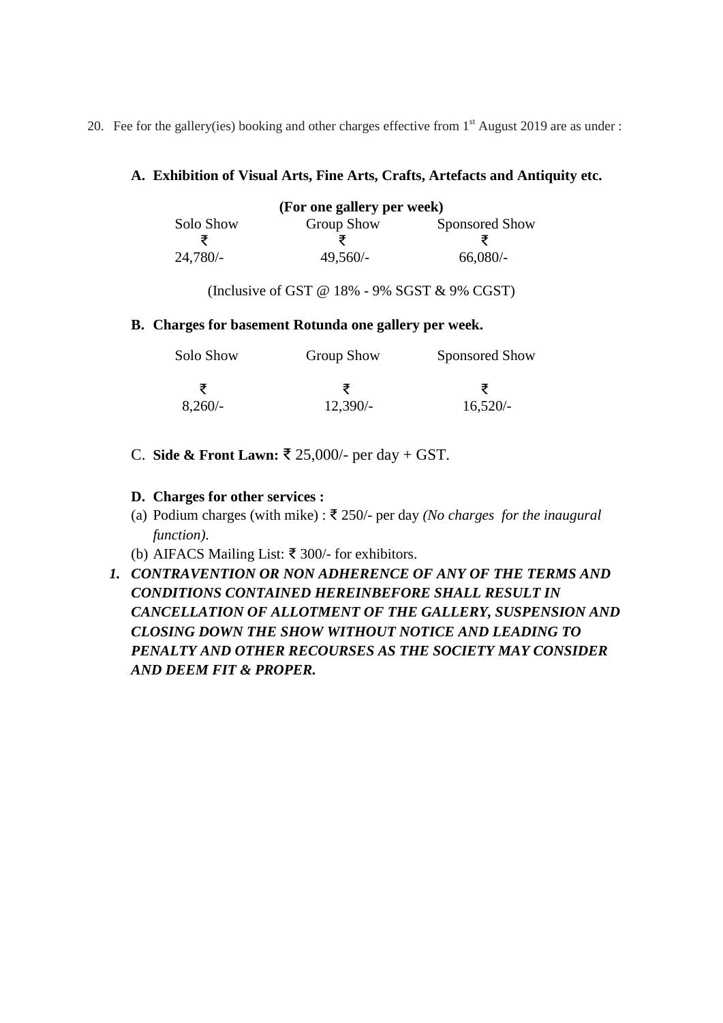20. Fee for the gallery(ies) booking and other charges effective from 1<sup>st</sup> August 2019 are as under :

# **A. Exhibition of Visual Arts, Fine Arts, Crafts, Artefacts and Antiquity etc.**

| (For one gallery per week) |                   |                |  |
|----------------------------|-------------------|----------------|--|
| Solo Show                  | <b>Group Show</b> | Sponsored Show |  |
|                            |                   |                |  |
| $24,780/-$                 | $49,560/-$        | 66,080/        |  |

(Inclusive of GST  $@$  18% - 9% SGST  $&$  9% CGST)

# **B. Charges for basement Rotunda one gallery per week.**

| Solo Show | <b>Group Show</b> | Sponsored Show |  |
|-----------|-------------------|----------------|--|
|           |                   | ₹              |  |
| $8,260/-$ | $12,390/-$        | $16,520/-$     |  |

C. **Side & Front Lawn:** ₹ 25,000/- per day + GST.

# **D. Charges for other services :**

- (a) Podium charges (with mike) : ₹ 250/- per day *(No charges for the inaugural function)*.
- (b) AIFACS Mailing List: ₹ 300/- for exhibitors.
- *1. CONTRAVENTION OR NON ADHERENCE OF ANY OF THE TERMS AND CONDITIONS CONTAINED HEREINBEFORE SHALL RESULT IN CANCELLATION OF ALLOTMENT OF THE GALLERY, SUSPENSION AND CLOSING DOWN THE SHOW WITHOUT NOTICE AND LEADING TO PENALTY AND OTHER RECOURSES AS THE SOCIETY MAY CONSIDER AND DEEM FIT & PROPER.*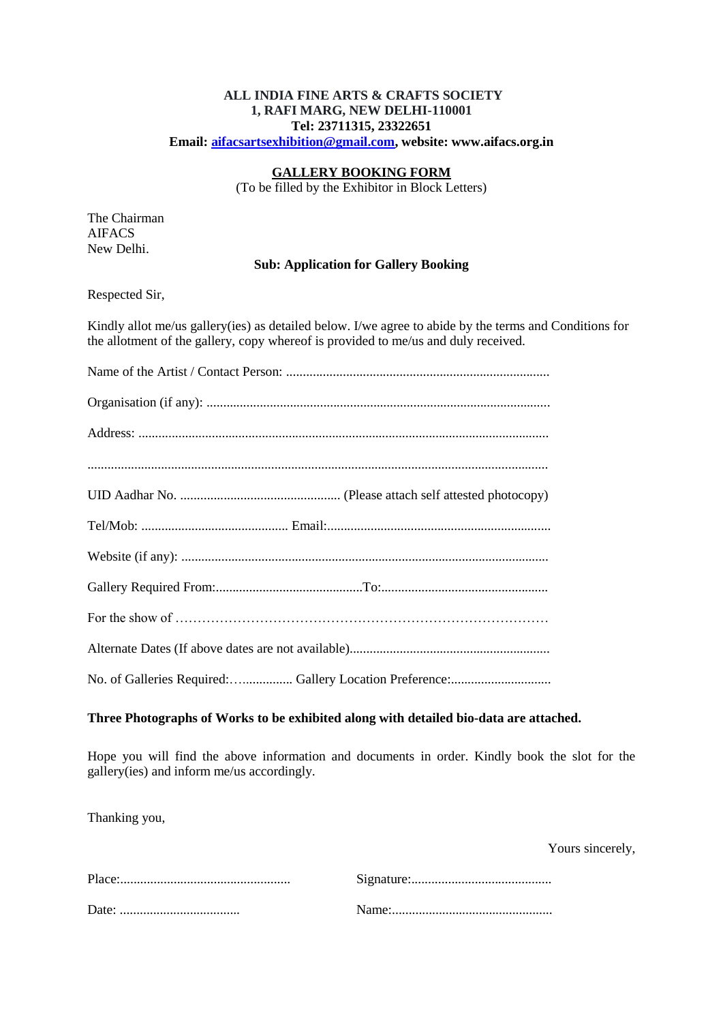# **ALL INDIA FINE ARTS & CRAFTS SOCIETY 1, RAFI MARG, NEW DELHI-110001 Tel: 23711315, 23322651**

**Email: [aifacsartsexhibition@gmail.com,](mailto:aifacsartsexhibition@gmail.com) website: www.aifacs.org.in**

## **GALLERY BOOKING FORM**

(To be filled by the Exhibitor in Block Letters)

The Chairman AIFACS New Delhi.

#### **Sub: Application for Gallery Booking**

Respected Sir,

Kindly allot me/us gallery(ies) as detailed below. I/we agree to abide by the terms and Conditions for the allotment of the gallery, copy whereof is provided to me/us and duly received.

| No. of Galleries Required:  Gallery Location Preference: |  |  |
|----------------------------------------------------------|--|--|

## **Three Photographs of Works to be exhibited along with detailed bio-data are attached.**

Hope you will find the above information and documents in order. Kindly book the slot for the gallery(ies) and inform me/us accordingly.

Thanking you,

Yours sincerely,